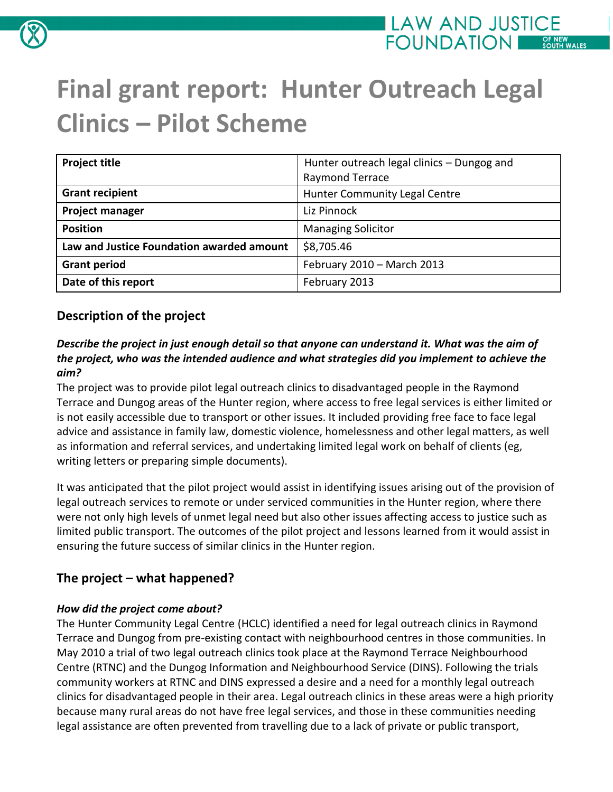

# **Final grant report: Hunter Outreach Legal Clinics – Pilot Scheme**

| <b>Project title</b>                      | Hunter outreach legal clinics - Dungog and |
|-------------------------------------------|--------------------------------------------|
|                                           | Raymond Terrace                            |
| <b>Grant recipient</b>                    | <b>Hunter Community Legal Centre</b>       |
| <b>Project manager</b>                    | Liz Pinnock                                |
| <b>Position</b>                           | <b>Managing Solicitor</b>                  |
| Law and Justice Foundation awarded amount | \$8,705.46                                 |
| <b>Grant period</b>                       | February 2010 - March 2013                 |
| Date of this report                       | February 2013                              |

# **Description of the project**

#### *Describe the project in just enough detail so that anyone can understand it. What was the aim of the project, who was the intended audience and what strategies did you implement to achieve the aim?*

The project was to provide pilot legal outreach clinics to disadvantaged people in the Raymond Terrace and Dungog areas of the Hunter region, where access to free legal services is either limited or is not easily accessible due to transport or other issues. It included providing free face to face legal advice and assistance in family law, domestic violence, homelessness and other legal matters, as well as information and referral services, and undertaking limited legal work on behalf of clients (eg, writing letters or preparing simple documents).

It was anticipated that the pilot project would assist in identifying issues arising out of the provision of legal outreach services to remote or under serviced communities in the Hunter region, where there were not only high levels of unmet legal need but also other issues affecting access to justice such as limited public transport. The outcomes of the pilot project and lessons learned from it would assist in ensuring the future success of similar clinics in the Hunter region.

# **The project – what happened?**

## *How did the project come about?*

The Hunter Community Legal Centre (HCLC) identified a need for legal outreach clinics in Raymond Terrace and Dungog from pre-existing contact with neighbourhood centres in those communities. In May 2010 a trial of two legal outreach clinics took place at the Raymond Terrace Neighbourhood Centre (RTNC) and the Dungog Information and Neighbourhood Service (DINS). Following the trials community workers at RTNC and DINS expressed a desire and a need for a monthly legal outreach clinics for disadvantaged people in their area. Legal outreach clinics in these areas were a high priority because many rural areas do not have free legal services, and those in these communities needing legal assistance are often prevented from travelling due to a lack of private or public transport,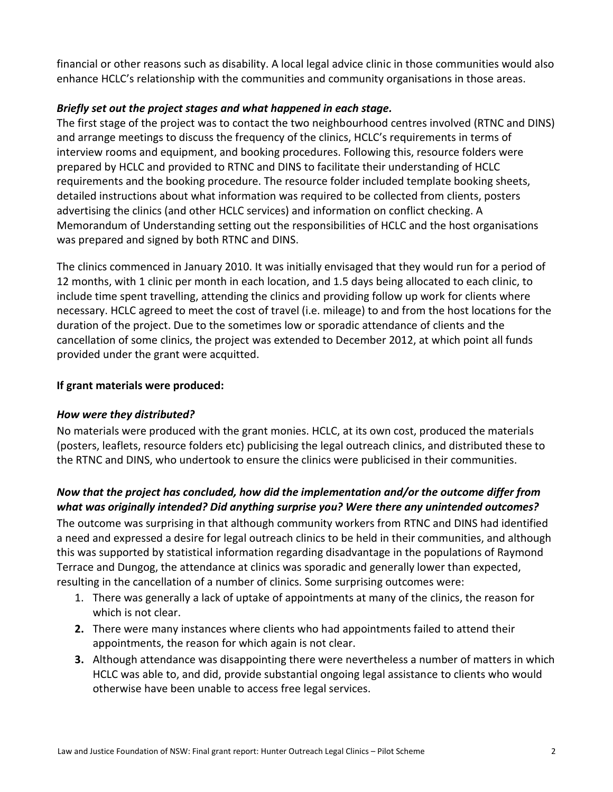financial or other reasons such as disability. A local legal advice clinic in those communities would also enhance HCLC's relationship with the communities and community organisations in those areas.

#### *Briefly set out the project stages and what happened in each stage.*

The first stage of the project was to contact the two neighbourhood centres involved (RTNC and DINS) and arrange meetings to discuss the frequency of the clinics, HCLC's requirements in terms of interview rooms and equipment, and booking procedures. Following this, resource folders were prepared by HCLC and provided to RTNC and DINS to facilitate their understanding of HCLC requirements and the booking procedure. The resource folder included template booking sheets, detailed instructions about what information was required to be collected from clients, posters advertising the clinics (and other HCLC services) and information on conflict checking. A Memorandum of Understanding setting out the responsibilities of HCLC and the host organisations was prepared and signed by both RTNC and DINS.

The clinics commenced in January 2010. It was initially envisaged that they would run for a period of 12 months, with 1 clinic per month in each location, and 1.5 days being allocated to each clinic, to include time spent travelling, attending the clinics and providing follow up work for clients where necessary. HCLC agreed to meet the cost of travel (i.e. mileage) to and from the host locations for the duration of the project. Due to the sometimes low or sporadic attendance of clients and the cancellation of some clinics, the project was extended to December 2012, at which point all funds provided under the grant were acquitted.

#### **If grant materials were produced:**

#### *How were they distributed?*

No materials were produced with the grant monies. HCLC, at its own cost, produced the materials (posters, leaflets, resource folders etc) publicising the legal outreach clinics, and distributed these to the RTNC and DINS, who undertook to ensure the clinics were publicised in their communities.

## *Now that the project has concluded, how did the implementation and/or the outcome differ from what was originally intended? Did anything surprise you? Were there any unintended outcomes?*

The outcome was surprising in that although community workers from RTNC and DINS had identified a need and expressed a desire for legal outreach clinics to be held in their communities, and although this was supported by statistical information regarding disadvantage in the populations of Raymond Terrace and Dungog, the attendance at clinics was sporadic and generally lower than expected, resulting in the cancellation of a number of clinics. Some surprising outcomes were:

- 1. There was generally a lack of uptake of appointments at many of the clinics, the reason for which is not clear.
- **2.** There were many instances where clients who had appointments failed to attend their appointments, the reason for which again is not clear.
- **3.** Although attendance was disappointing there were nevertheless a number of matters in which HCLC was able to, and did, provide substantial ongoing legal assistance to clients who would otherwise have been unable to access free legal services.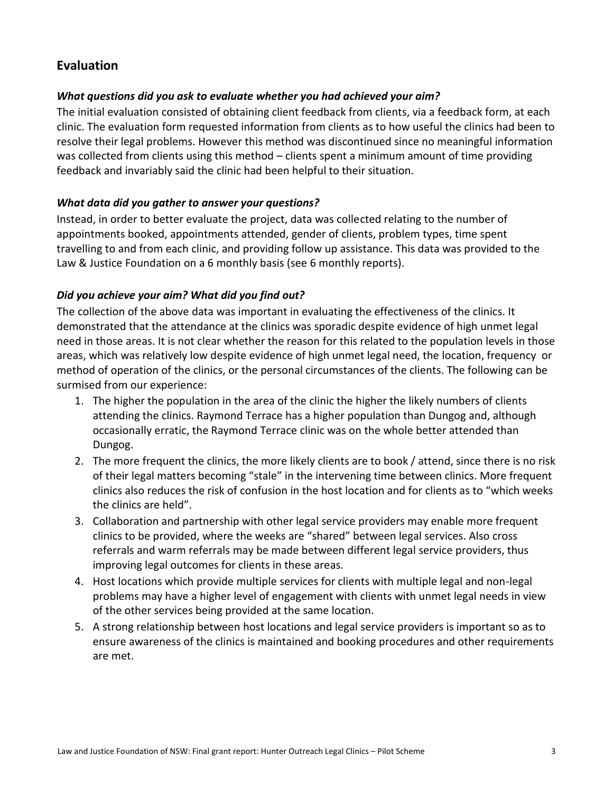## **Evaluation**

#### *What questions did you ask to evaluate whether you had achieved your aim?*

The initial evaluation consisted of obtaining client feedback from clients, via a feedback form, at each clinic. The evaluation form requested information from clients as to how useful the clinics had been to resolve their legal problems. However this method was discontinued since no meaningful information was collected from clients using this method – clients spent a minimum amount of time providing feedback and invariably said the clinic had been helpful to their situation.

#### *What data did you gather to answer your questions?*

Instead, in order to better evaluate the project, data was collected relating to the number of appointments booked, appointments attended, gender of clients, problem types, time spent travelling to and from each clinic, and providing follow up assistance. This data was provided to the Law & Justice Foundation on a 6 monthly basis (see 6 monthly reports).

#### *Did you achieve your aim? What did you find out?*

The collection of the above data was important in evaluating the effectiveness of the clinics. It demonstrated that the attendance at the clinics was sporadic despite evidence of high unmet legal need in those areas. It is not clear whether the reason for this related to the population levels in those areas, which was relatively low despite evidence of high unmet legal need, the location, frequency or method of operation of the clinics, or the personal circumstances of the clients. The following can be surmised from our experience:

- 1. The higher the population in the area of the clinic the higher the likely numbers of clients attending the clinics. Raymond Terrace has a higher population than Dungog and, although occasionally erratic, the Raymond Terrace clinic was on the whole better attended than Dungog.
- 2. The more frequent the clinics, the more likely clients are to book / attend, since there is no risk of their legal matters becoming "stale" in the intervening time between clinics. More frequent clinics also reduces the risk of confusion in the host location and for clients as to "which weeks the clinics are held".
- 3. Collaboration and partnership with other legal service providers may enable more frequent clinics to be provided, where the weeks are "shared" between legal services. Also cross referrals and warm referrals may be made between different legal service providers, thus improving legal outcomes for clients in these areas.
- 4. Host locations which provide multiple services for clients with multiple legal and non-legal problems may have a higher level of engagement with clients with unmet legal needs in view of the other services being provided at the same location.
- 5. A strong relationship between host locations and legal service providers is important so as to ensure awareness of the clinics is maintained and booking procedures and other requirements are met.